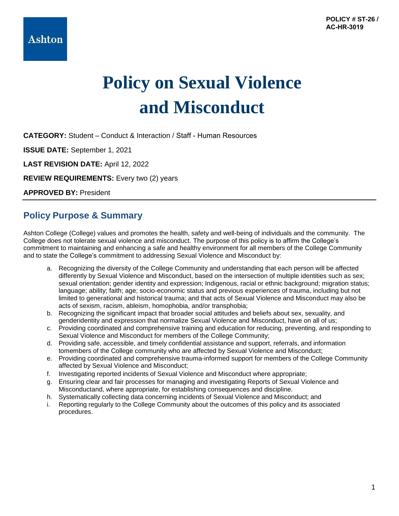

# **Policy on Sexual Violence and Misconduct**

**CATEGORY:** Student – Conduct & Interaction / Staff - Human Resources

**ISSUE DATE:** September 1, 2021

**LAST REVISION DATE:** April 12, 2022

**REVIEW REQUIREMENTS:** Every two (2) years

**APPROVED BY:** President

### **Policy Purpose & Summary**

Ashton College (College) values and promotes the health, safety and well-being of individuals and the community. The College does not tolerate sexual violence and misconduct. The purpose of this policy is to affirm the College's commitment to maintaining and enhancing a safe and healthy environment for all members of the College Community and to state the College's commitment to addressing Sexual Violence and Misconduct by:

- a. Recognizing the diversity of the College Community and understanding that each person will be affected differently by Sexual Violence and Misconduct, based on the intersection of multiple identities such as sex; sexual orientation; gender identity and expression; Indigenous, racial or ethnic background; migration status; language; ability; faith; age; socio-economic status and previous experiences of trauma, including but not limited to generational and historical trauma; and that acts of Sexual Violence and Misconduct may also be acts of sexism, racism, ableism, homophobia, and/or transphobia;
- b. Recognizing the significant impact that broader social attitudes and beliefs about sex, sexuality, and genderidentity and expression that normalize Sexual Violence and Misconduct, have on all of us;
- c. Providing coordinated and comprehensive training and education for reducing, preventing, and responding to Sexual Violence and Misconduct for members of the College Community;
- d. Providing safe, accessible, and timely confidential assistance and support, referrals, and information to members of the College community who are affected by Sexual Violence and Misconduct;
- e. Providing coordinated and comprehensive trauma-informed support for members of the College Community affected by Sexual Violence and Misconduct;
- f. Investigating reported incidents of Sexual Violence and Misconduct where appropriate;
- g. Ensuring clear and fair processes for managing and investigating Reports of Sexual Violence and Misconductand, where appropriate, for establishing consequences and discipline.
- h. Systematically collecting data concerning incidents of Sexual Violence and Misconduct; and
- i. Reporting regularly to the College Community about the outcomes of this policy and its associated procedures.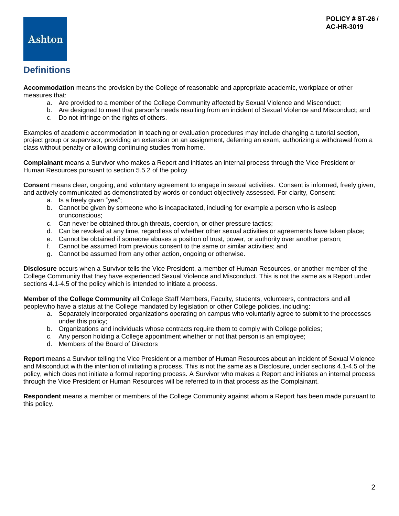# **Definitions**

**Ashton** 

**Accommodation** means the provision by the College of reasonable and appropriate academic, workplace or other measures that:

- a. Are provided to a member of the College Community affected by Sexual Violence and Misconduct;
- b. Are designed to meet that person's needs resulting from an incident of Sexual Violence and Misconduct; and
- c. Do not infringe on the rights of others.

Examples of academic accommodation in teaching or evaluation procedures may include changing a tutorial section, project group or supervisor, providing an extension on an assignment, deferring an exam, authorizing a withdrawal from a class without penalty or allowing continuing studies from home.

**Complainant** means a Survivor who makes a Report and initiates an internal process through the Vice President or Human Resources pursuant to section 5.5.2 of the policy.

**Consent** means clear, ongoing, and voluntary agreement to engage in sexual activities. Consent is informed, freely given, and actively communicated as demonstrated by words or conduct objectively assessed. For clarity, Consent:

- a. Is a freely given "yes";
- b. Cannot be given by someone who is incapacitated, including for example a person who is asleep or unconscious;
- c. Can never be obtained through threats, coercion, or other pressure tactics;
- d. Can be revoked at any time, regardless of whether other sexual activities or agreements have taken place;
- e. Cannot be obtained if someone abuses a position of trust, power, or authority over another person;
- f. Cannot be assumed from previous consent to the same or similar activities; and
- g. Cannot be assumed from any other action, ongoing or otherwise.

**Disclosure** occurs when a Survivor tells the Vice President, a member of Human Resources, or another member of the College Community that they have experienced Sexual Violence and Misconduct. This is not the same as a Report under sections 4.1-4.5 of the policy which is intended to initiate a process.

**Member of the College Community** all College Staff Members, Faculty, students, volunteers, contractors and all people who have a status at the College mandated by legislation or other College policies, including:

- a. Separately incorporated organizations operating on campus who voluntarily agree to submit to the processes under this policy;
- b. Organizations and individuals whose contracts require them to comply with College policies;
- c. Any person holding a College appointment whether or not that person is an employee;
- d. Members of the Board of Directors

**Report** means a Survivor telling the Vice President or a member of Human Resources about an incident of Sexual Violence and Misconduct with the intention of initiating a process. This is not the same as a Disclosure, under sections 4.1-4.5 of the policy, which does not initiate a formal reporting process. A Survivor who makes a Report and initiates an internal process through the Vice President or Human Resources will be referred to in that process as the Complainant.

**Respondent** means a member or members of the College Community against whom a Report has been made pursuant to this policy.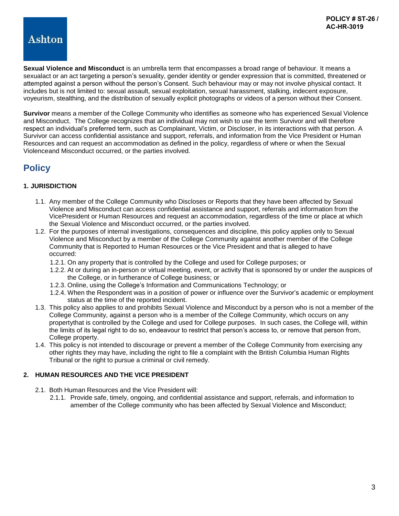**Sexual Violence and Misconduct** is an umbrella term that encompasses a broad range of behaviour. It means a sexual act or an act targeting a person's sexuality, gender identity or gender expression that is committed, threatened or attempted against a person without the person's Consent. Such behaviour may or may not involve physical contact. It includes but is not limited to: sexual assault, sexual exploitation, sexual harassment, stalking, indecent exposure, voyeurism, stealthing, and the distribution of sexually explicit photographs or videos of a person without their Consent.

**Survivor** means a member of the College Community who identifies as someone who has experienced Sexual Violence and Misconduct. The College recognizes that an individual may not wish to use the term Survivor and will therefore respect an individual's preferred term, such as Complainant, Victim, or Discloser, in its interactions with that person. A Survivor can access confidential assistance and support, referrals, and information from the Vice President or Human Resources and can request an accommodation as defined in the policy, regardless of where or when the Sexual Violence and Misconduct occurred, or the parties involved.

### **Policy**

### **1. JURISDICTION**

- 1.1. Any member of the College Community who Discloses or Reports that they have been affected by Sexual Violence and Misconduct can access confidential assistance and support, referrals and information from the Vice President or Human Resources and request an accommodation, regardless of the time or place at which the Sexual Violence and Misconduct occurred, or the parties involved.
- 1.2. For the purposes of internal investigations, consequences and discipline, this policy applies only to Sexual Violence and Misconduct by a member of the College Community against another member of the College Community that is Reported to Human Resources or the Vice President and that is alleged to have occurred:
	- 1.2.1. On any property that is controlled by the College and used for College purposes; or
	- 1.2.2. At or during an in-person or virtual meeting, event, or activity that is sponsored by or under the auspices of the College, or in furtherance of College business; or
	- 1.2.3. Online, using the College's Information and Communications Technology; or
	- 1.2.4. When the Respondent was in a position of power or influence over the Survivor's academic or employment status at the time of the reported incident.
- 1.3. This policy also applies to and prohibits Sexual Violence and Misconduct by a person who is not a member of the College Community, against a person who is a member of the College Community, which occurs on any property that is controlled by the College and used for College purposes. In such cases, the College will, within the limits of its legal right to do so, endeavour to restrict that person's access to, or remove that person from, College property.
- 1.4. This policy is not intended to discourage or prevent a member of the College Community from exercising any other rights they may have, including the right to file a complaint with the British Columbia Human Rights Tribunal or the right to pursue a criminal or civil remedy.

### **2. HUMAN RESOURCES AND THE VICE PRESIDENT**

- 2.1. Both Human Resources and the Vice President will:
	- 2.1.1. Provide safe, timely, ongoing, and confidential assistance and support, referrals, and information to amember of the College community who has been affected by Sexual Violence and Misconduct;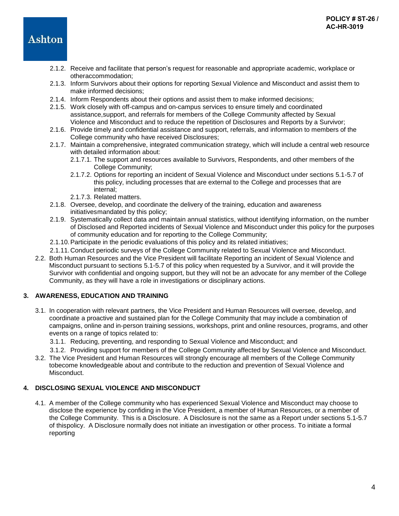- 2.1.2. Receive and facilitate that person's request for reasonable and appropriate academic, workplace or other accommodation;
- 2.1.3. Inform Survivors about their options for reporting Sexual Violence and Misconduct and assist them to make informed decisions;
- 2.1.4. Inform Respondents about their options and assist them to make informed decisions;
- 2.1.5. Work closely with off-campus and on-campus services to ensure timely and coordinated assistance, support, and referrals for members of the College Community affected by Sexual Violence and Misconduct and to reduce the repetition of Disclosures and Reports by a Survivor;
- 2.1.6. Provide timely and confidential assistance and support, referrals, and information to members of the College community who have received Disclosures;
- 2.1.7. Maintain a comprehensive, integrated communication strategy, which will include a central web resource with detailed information about:
	- 2.1.7.1. The support and resources available to Survivors, Respondents, and other members of the College Community;
	- 2.1.7.2. Options for reporting an incident of Sexual Violence and Misconduct under sections 5.1-5.7 of this policy, including processes that are external to the College and processes that are internal;
	- 2.1.7.3. Related matters.
- 2.1.8. Oversee, develop, and coordinate the delivery of the training, education and awareness initiatives mandated by this policy;
- 2.1.9. Systematically collect data and maintain annual statistics, without identifying information, on the number of Disclosed and Reported incidents of Sexual Violence and Misconduct under this policy for the purposes of community education and for reporting to the College Community;
- 2.1.10. Participate in the periodic evaluations of this policy and its related initiatives;
- 2.1.11. Conduct periodic surveys of the College Community related to Sexual Violence and Misconduct.
- 2.2. Both Human Resources and the Vice President will facilitate Reporting an incident of Sexual Violence and Misconduct pursuant to sections 5.1-5.7 of this policy when requested by a Survivor, and it will provide the Survivor with confidential and ongoing support, but they will not be an advocate for any member of the College Community, as they will have a role in investigations or disciplinary actions.

### **3. AWARENESS, EDUCATION AND TRAINING**

- 3.1. In cooperation with relevant partners, the Vice President and Human Resources will oversee, develop, and coordinate a proactive and sustained plan for the College Community that may include a combination of campaigns, online and in-person training sessions, workshops, print and online resources, programs, and other events on a range of topics related to:
	- 3.1.1. Reducing, preventing, and responding to Sexual Violence and Misconduct; and
	- 3.1.2. Providing support for members of the College Community affected by Sexual Violence and Misconduct.
- 3.2. The Vice President and Human Resources will strongly encourage all members of the College Community to become knowledgeable about and contribute to the reduction and prevention of Sexual Violence and Misconduct.

### **4. DISCLOSING SEXUAL VIOLENCE AND MISCONDUCT**

4.1. A member of the College community who has experienced Sexual Violence and Misconduct may choose to disclose the experience by confiding in the Vice President, a member of Human Resources, or a member of the College Community. This is a Disclosure. A Disclosure is not the same as a Report under sections 5.1-5.7 of this policy. A Disclosure normally does not initiate an investigation or other process. To initiate a formal reporting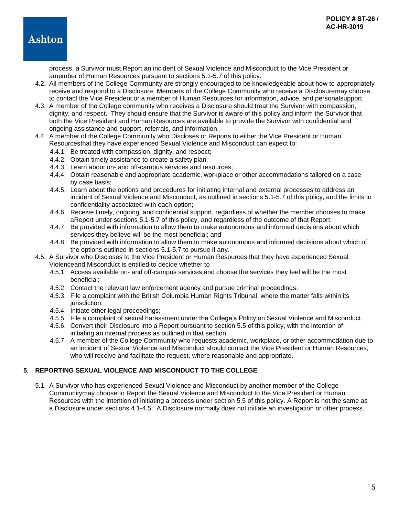process, a Survivor must Report an incident of Sexual Violence and Misconduct to the Vice President or amember of Human Resources pursuant to sections 5.1-5.7 of this policy.

- 4.2. All members of the College Community are strongly encouraged to be knowledgeable about how to appropriately receive and respond to a Disclosure. Members of the College Community who receive a Disclosure may choose to contact the Vice President or a member of Human Resources for information, advice, and personal support.
- 4.3. A member of the College community who receives a Disclosure should treat the Survivor with compassion, dignity, and respect. They should ensure that the Survivor is aware of this policy and inform the Survivor that both the Vice President and Human Resources are available to provide the Survivor with confidential and ongoing assistance and support, referrals, and information.
- 4.4. A member of the College Community who Discloses or Reports to either the Vice President or Human Resources that they have experienced Sexual Violence and Misconduct can expect to:
	- 4.4.1. Be treated with compassion, dignity, and respect;
	- 4.4.2. Obtain timely assistance to create a safety plan;
	- 4.4.3. Learn about on- and off-campus services and resources;
	- 4.4.4. Obtain reasonable and appropriate academic, workplace or other accommodations tailored on a case by case basis;
	- 4.4.5. Learn about the options and procedures for initiating internal and external processes to address an incident of Sexual Violence and Misconduct, as outlined in sections 5.1-5.7 of this policy, and the limits to confidentiality associated with each option;
	- 4.4.6. Receive timely, ongoing, and confidential support, regardless of whether the member chooses to make a Report under sections 5.1-5.7 of this policy, and regardless of the outcome of that Report;
	- 4.4.7. Be provided with information to allow them to make autonomous and informed decisions about which services they believe will be the most beneficial; and
	- 4.4.8. Be provided with information to allow them to make autonomous and informed decisions about which of the options outlined in sections 5.1-5.7 to pursue if any.
- 4.5. A Survivor who Discloses to the Vice President or Human Resources that they have experienced Sexual Violence and Misconduct is entitled to decide whether to
	- 4.5.1. Access available on- and off-campus services and choose the services they feel will be the most beneficial;
	- 4.5.2. Contact the relevant law enforcement agency and pursue criminal proceedings;
	- 4.5.3. File a complaint with the British Columbia Human Rights Tribunal, where the matter falls within its jurisdiction:
	- 4.5.4. Initiate other legal proceedings;
	- 4.5.5. File a complaint of sexual harassment under the College's Policy on Sexual Violence and Misconduct.
	- 4.5.6. Convert their Disclosure into a Report pursuant to section 5.5 of this policy, with the intention of initiating an internal process as outlined in that section.
	- 4.5.7. A member of the College Community who requests academic, workplace, or other accommodation due to an incident of Sexual Violence and Misconduct should contact the Vice President or Human Resources, who will receive and facilitate the request, where reasonable and appropriate.

### **5. REPORTING SEXUAL VIOLENCE AND MISCONDUCT TO THE COLLEGE**

5.1. A Survivor who has experienced Sexual Violence and Misconduct by another member of the College Community may choose to Report the Sexual Violence and Misconduct to the Vice President or Human Resources with the intention of initiating a process under section 5.5 of this policy. A Report is not the same as a Disclosure under sections 4.1-4.5. A Disclosure normally does not initiate an investigation or other process.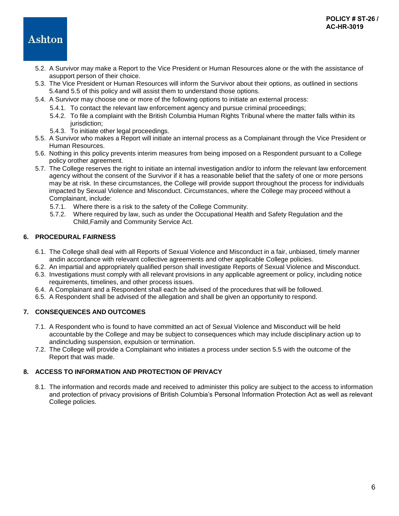- 5.2. A Survivor may make a Report to the Vice President or Human Resources alone or the with the assistance of a support person of their choice.
- 5.3. The Vice President or Human Resources will inform the Survivor about their options, as outlined in sections 5.4and 5.5 of this policy and will assist them to understand those options.
- 5.4. A Survivor may choose one or more of the following options to initiate an external process:
	- 5.4.1. To contact the relevant law enforcement agency and pursue criminal proceedings;
	- 5.4.2. To file a complaint with the British Columbia Human Rights Tribunal where the matter falls within its jurisdiction:
	- 5.4.3. To initiate other legal proceedings.
- 5.5. A Survivor who makes a Report will initiate an internal process as a Complainant through the Vice President or Human Resources.
- 5.6. Nothing in this policy prevents interim measures from being imposed on a Respondent pursuant to a College policy orother agreement.
- 5.7. The College reserves the right to initiate an internal investigation and/or to inform the relevant law enforcement agency without the consent of the Survivor if it has a reasonable belief that the safety of one or more persons may be at risk. In these circumstances, the College will provide support throughout the process for individuals impacted by Sexual Violence and Misconduct. Circumstances, where the College may proceed without a Complainant, include:
	- 5.7.1. Where there is a risk to the safety of the College Community.
	- 5.7.2. Where required by law, such as under the Occupational Health and Safety Regulation and the Child, Family and Community Service Act.

### **6. PROCEDURAL FAIRNESS**

- 6.1. The College shall deal with all Reports of Sexual Violence and Misconduct in a fair, unbiased, timely manner andin accordance with relevant collective agreements and other applicable College policies.
- 6.2. An impartial and appropriately qualified person shall investigate Reports of Sexual Violence and Misconduct.
- 6.3. Investigations must comply with all relevant provisions in any applicable agreement or policy, including notice requirements, timelines, and other process issues.
- 6.4. A Complainant and a Respondent shall each be advised of the procedures that will be followed.
- 6.5. A Respondent shall be advised of the allegation and shall be given an opportunity to respond.

### **7. CONSEQUENCES AND OUTCOMES**

- 7.1. A Respondent who is found to have committed an act of Sexual Violence and Misconduct will be held accountable by the College and may be subject to consequences which may include disciplinary action up to and including suspension, expulsion or termination.
- 7.2. The College will provide a Complainant who initiates a process under section 5.5 with the outcome of the Report that was made.

### **8. ACCESS TO INFORMATION AND PROTECTION OF PRIVACY**

8.1. The information and records made and received to administer this policy are subject to the access to information and protection of privacy provisions of British Columbia's Personal Information Protection Act as well as relevant College policies.